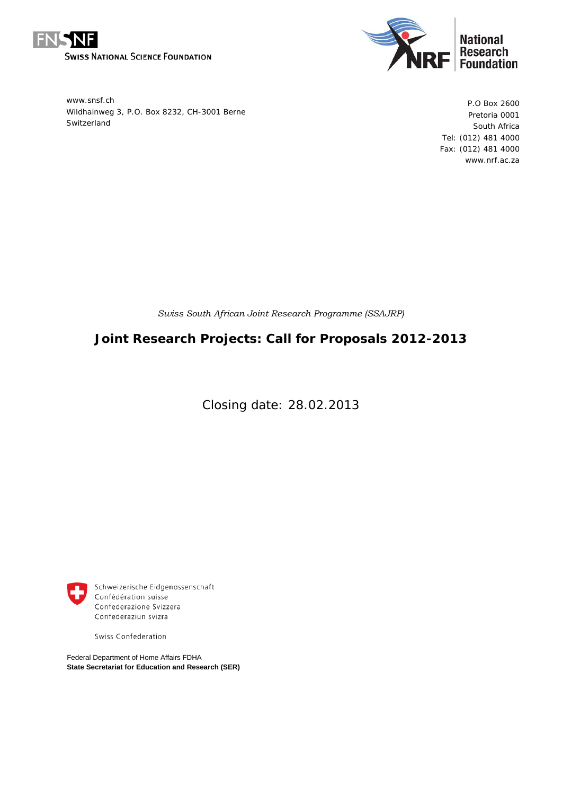



www.snsf.ch Wildhainweg 3, P.O. Box 8232, CH-3001 Berne Switzerland

P.O Box 2600 Pretoria 0001 South Africa Tel: (012) 481 4000 Fax: (012) 481 4000 www.nrf.ac.za

*Swiss South African Joint Research Programme (SSAJRP)* 

# **Joint Research Projects: Call for Proposals 2012-2013**

Closing date: 28.02.2013



Schweizerische Eidgenossenschaft Confédération suisse Confederazione Svizzera Confederaziun svizra

Swiss Confederation

Federal Department of Home Affairs FDHA **State Secretariat for Education and Research (SER)**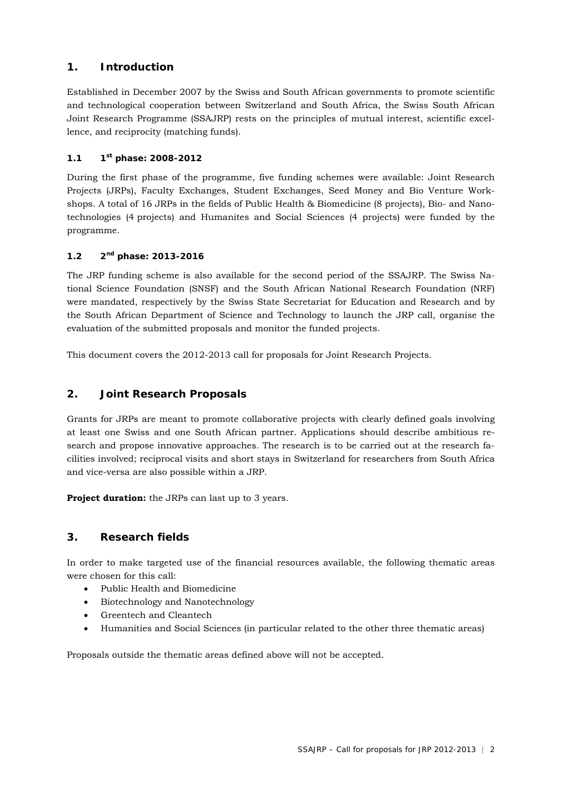# **1. Introduction**

Established in December 2007 by the Swiss and South African governments to promote scientific and technological cooperation between Switzerland and South Africa, the Swiss South African Joint Research Programme (SSAJRP) rests on the principles of mutual interest, scientific excellence, and reciprocity (matching funds).

# **1.1 1st phase: 2008-2012**

During the first phase of the programme, five funding schemes were available: Joint Research Projects (JRPs), Faculty Exchanges, Student Exchanges, Seed Money and Bio Venture Workshops. A total of 16 JRPs in the fields of Public Health & Biomedicine (8 projects), Bio- and Nanotechnologies (4 projects) and Humanites and Social Sciences (4 projects) were funded by the programme.

# **1.2 2nd phase: 2013-2016**

The JRP funding scheme is also available for the second period of the SSAJRP. The Swiss National Science Foundation (SNSF) and the South African National Research Foundation (NRF) were mandated, respectively by the Swiss State Secretariat for Education and Research and by the South African Department of Science and Technology to launch the JRP call, organise the evaluation of the submitted proposals and monitor the funded projects.

This document covers the 2012-2013 call for proposals for Joint Research Projects.

# **2. Joint Research Proposals**

Grants for JRPs are meant to promote collaborative projects with clearly defined goals involving at least one Swiss and one South African partner. Applications should describe ambitious research and propose innovative approaches. The research is to be carried out at the research facilities involved; reciprocal visits and short stays in Switzerland for researchers from South Africa and vice-versa are also possible within a JRP.

**Project duration:** the JRPs can last up to 3 years.

# **3. Research fields**

In order to make targeted use of the financial resources available, the following thematic areas were chosen for this call:

- Public Health and Biomedicine
- Biotechnology and Nanotechnology
- Greentech and Cleantech
- Humanities and Social Sciences (in particular related to the other three thematic areas)

Proposals outside the thematic areas defined above will not be accepted.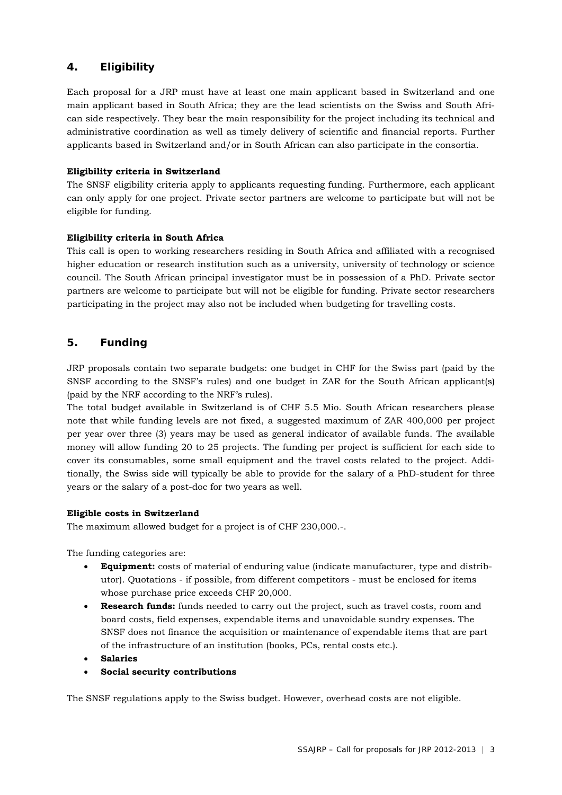# **4. Eligibility**

Each proposal for a JRP must have at least one main applicant based in Switzerland and one main applicant based in South Africa; they are the lead scientists on the Swiss and South African side respectively. They bear the main responsibility for the project including its technical and administrative coordination as well as timely delivery of scientific and financial reports. Further applicants based in Switzerland and/or in South African can also participate in the consortia.

#### **Eligibility criteria in Switzerland**

The SNSF eligibility criteria apply to applicants requesting funding. Furthermore, each applicant can only apply for one project. Private sector partners are welcome to participate but will not be eligible for funding.

#### **Eligibility criteria in South Africa**

This call is open to working researchers residing in South Africa and affiliated with a recognised higher education or research institution such as a university, university of technology or science council. The South African principal investigator must be in possession of a PhD. Private sector partners are welcome to participate but will not be eligible for funding. Private sector researchers participating in the project may also not be included when budgeting for travelling costs.

# **5. Funding**

JRP proposals contain two separate budgets: one budget in CHF for the Swiss part (paid by the SNSF according to the SNSF's rules) and one budget in ZAR for the South African applicant(s) (paid by the NRF according to the NRF's rules).

The total budget available in Switzerland is of CHF 5.5 Mio. South African researchers please note that while funding levels are not fixed, a suggested maximum of ZAR 400,000 per project per year over three (3) years may be used as general indicator of available funds. The available money will allow funding 20 to 25 projects. The funding per project is sufficient for each side to cover its consumables, some small equipment and the travel costs related to the project. Additionally, the Swiss side will typically be able to provide for the salary of a PhD-student for three years or the salary of a post-doc for two years as well.

#### **Eligible costs in Switzerland**

The maximum allowed budget for a project is of CHF 230,000.-.

The funding categories are:

- **Equipment:** costs of material of enduring value (indicate manufacturer, type and distributor). Quotations - if possible, from different competitors - must be enclosed for items whose purchase price exceeds CHF 20,000.
- **Research funds:** funds needed to carry out the project, such as travel costs, room and board costs, field expenses, expendable items and unavoidable sundry expenses. The SNSF does not finance the acquisition or maintenance of expendable items that are part of the infrastructure of an institution (books, PCs, rental costs etc.).
- **Salaries**
- **Social security contributions**

The SNSF regulations apply to the Swiss budget. However, overhead costs are not eligible.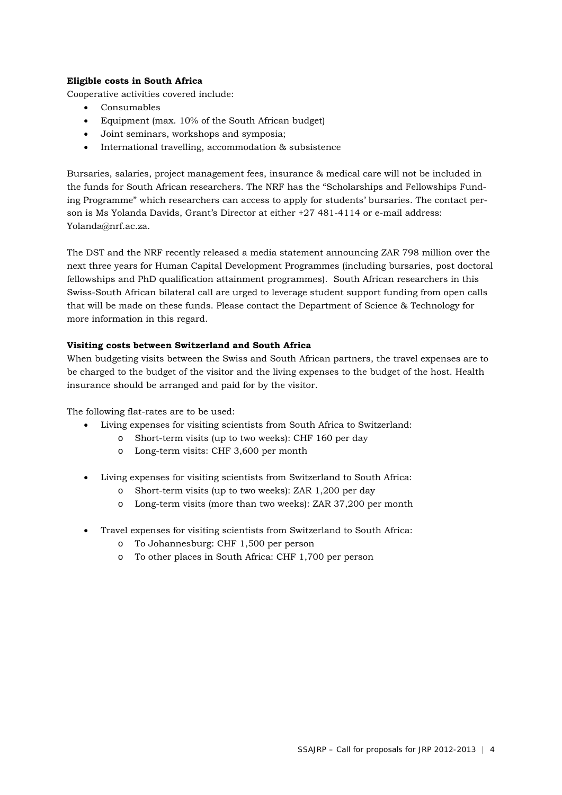#### **Eligible costs in South Africa**

Cooperative activities covered include:

- Consumables
- Equipment (max. 10% of the South African budget)
- Joint seminars, workshops and symposia;
- International travelling, accommodation & subsistence

Bursaries, salaries, project management fees, insurance & medical care will not be included in the funds for South African researchers. The NRF has the "Scholarships and Fellowships Funding Programme" which researchers can access to apply for students' bursaries. The contact person is Ms Yolanda Davids, Grant's Director at either +27 481-4114 or e-mail address: Yolanda@nrf.ac.za.

The DST and the NRF recently released a media statement announcing ZAR 798 million over the next three years for Human Capital Development Programmes (including bursaries, post doctoral fellowships and PhD qualification attainment programmes). South African researchers in this Swiss-South African bilateral call are urged to leverage student support funding from open calls that will be made on these funds. Please contact the Department of Science & Technology for more information in this regard.

## **Visiting costs between Switzerland and South Africa**

When budgeting visits between the Swiss and South African partners, the travel expenses are to be charged to the budget of the visitor and the living expenses to the budget of the host. Health insurance should be arranged and paid for by the visitor.

The following flat-rates are to be used:

- Living expenses for visiting scientists from South Africa to Switzerland:
	- o Short-term visits (up to two weeks): CHF 160 per day
	- o Long-term visits: CHF 3,600 per month
- Living expenses for visiting scientists from Switzerland to South Africa:
	- o Short-term visits (up to two weeks): ZAR 1,200 per day
	- o Long-term visits (more than two weeks): ZAR 37,200 per month
- Travel expenses for visiting scientists from Switzerland to South Africa:
	- o To Johannesburg: CHF 1,500 per person
	- o To other places in South Africa: CHF 1,700 per person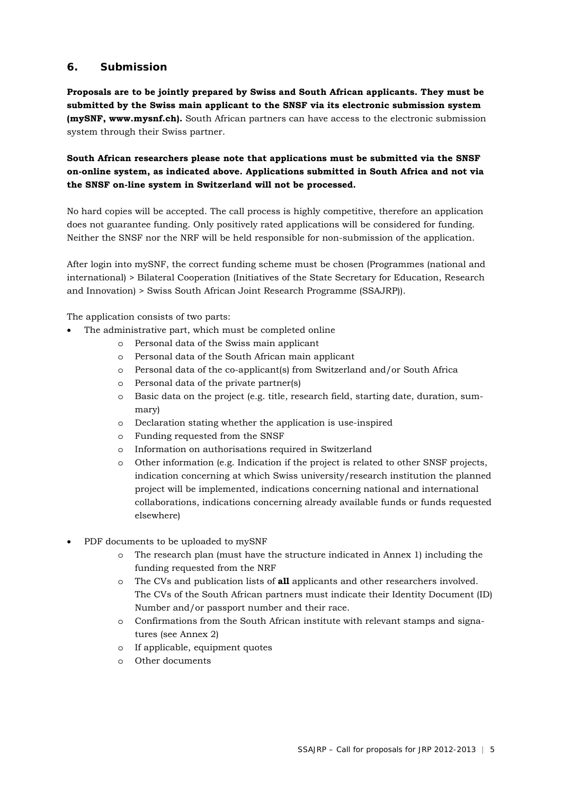# **6. Submission**

**Proposals are to be jointly prepared by Swiss and South African applicants. They must be submitted by the Swiss main applicant to the SNSF via its electronic submission system (mySNF, www.mysnf.ch).** South African partners can have access to the electronic submission system through their Swiss partner.

# **South African researchers please note that applications must be submitted via the SNSF on-online system, as indicated above. Applications submitted in South Africa and not via the SNSF on-line system in Switzerland will not be processed.**

No hard copies will be accepted. The call process is highly competitive, therefore an application does not guarantee funding. Only positively rated applications will be considered for funding. Neither the SNSF nor the NRF will be held responsible for non-submission of the application.

After login into mySNF, the correct funding scheme must be chosen (Programmes (national and international) > Bilateral Cooperation (Initiatives of the State Secretary for Education, Research and Innovation) > Swiss South African Joint Research Programme (SSAJRP)).

The application consists of two parts:

- The administrative part, which must be completed online
	- o Personal data of the Swiss main applicant
	- o Personal data of the South African main applicant
	- o Personal data of the co-applicant(s) from Switzerland and/or South Africa
	- o Personal data of the private partner(s)
	- o Basic data on the project (e.g. title, research field, starting date, duration, summary)
	- o Declaration stating whether the application is use-inspired
	- o Funding requested from the SNSF
	- o Information on authorisations required in Switzerland
	- o Other information (e.g. Indication if the project is related to other SNSF projects, indication concerning at which Swiss university/research institution the planned project will be implemented, indications concerning national and international collaborations, indications concerning already available funds or funds requested elsewhere)
- PDF documents to be uploaded to mySNF
	- o The research plan (must have the structure indicated in Annex 1) including the funding requested from the NRF
	- o The CVs and publication lists of **all** applicants and other researchers involved. The CVs of the South African partners must indicate their Identity Document (ID) Number and/or passport number and their race.
	- o Confirmations from the South African institute with relevant stamps and signatures (see Annex 2)
	- o If applicable, equipment quotes
	- o Other documents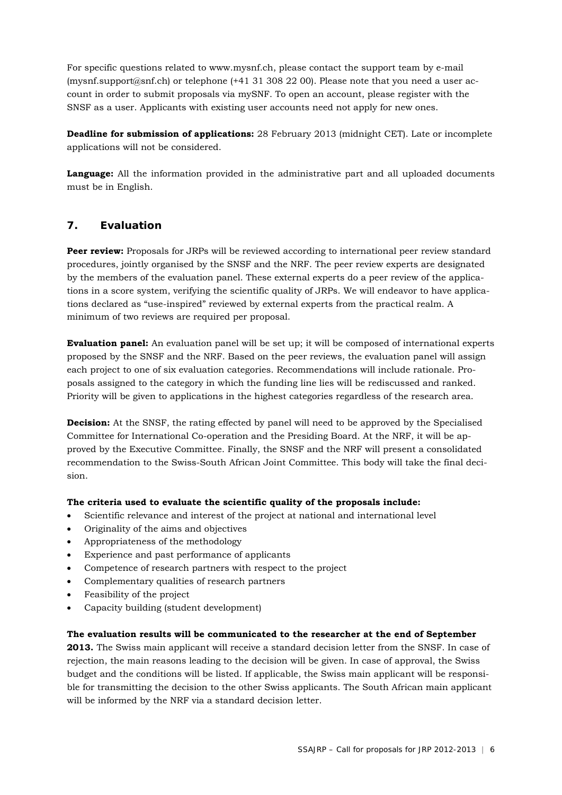For specific questions related to www.mysnf.ch, please contact the support team by e-mail (mysnf.support@snf.ch) or telephone (+41 31 308 22 00). Please note that you need a user account in order to submit proposals via mySNF. To open an account, please register with the SNSF as a user. Applicants with existing user accounts need not apply for new ones.

**Deadline for submission of applications:** 28 February 2013 (midnight CET). Late or incomplete applications will not be considered.

**Language:** All the information provided in the administrative part and all uploaded documents must be in English.

# **7. Evaluation**

**Peer review:** Proposals for JRPs will be reviewed according to international peer review standard procedures, jointly organised by the SNSF and the NRF. The peer review experts are designated by the members of the evaluation panel. These external experts do a peer review of the applications in a score system, verifying the scientific quality of JRPs. We will endeavor to have applications declared as "use-inspired" reviewed by external experts from the practical realm. A minimum of two reviews are required per proposal.

**Evaluation panel:** An evaluation panel will be set up; it will be composed of international experts proposed by the SNSF and the NRF. Based on the peer reviews, the evaluation panel will assign each project to one of six evaluation categories. Recommendations will include rationale. Proposals assigned to the category in which the funding line lies will be rediscussed and ranked. Priority will be given to applications in the highest categories regardless of the research area.

**Decision:** At the SNSF, the rating effected by panel will need to be approved by the Specialised Committee for International Co-operation and the Presiding Board. At the NRF, it will be approved by the Executive Committee. Finally, the SNSF and the NRF will present a consolidated recommendation to the Swiss-South African Joint Committee. This body will take the final decision.

## **The criteria used to evaluate the scientific quality of the proposals include:**

- Scientific relevance and interest of the project at national and international level
- Originality of the aims and objectives
- Appropriateness of the methodology
- Experience and past performance of applicants
- Competence of research partners with respect to the project
- Complementary qualities of research partners
- Feasibility of the project
- Capacity building (student development)

#### **The evaluation results will be communicated to the researcher at the end of September**

**2013.** The Swiss main applicant will receive a standard decision letter from the SNSF. In case of rejection, the main reasons leading to the decision will be given. In case of approval, the Swiss budget and the conditions will be listed. If applicable, the Swiss main applicant will be responsible for transmitting the decision to the other Swiss applicants. The South African main applicant will be informed by the NRF via a standard decision letter.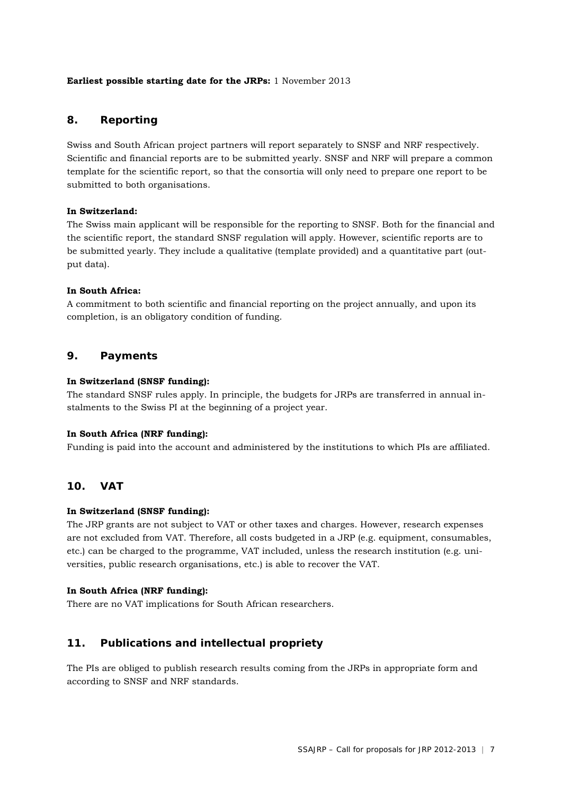#### **Earliest possible starting date for the JRPs:** 1 November 2013

# **8. Reporting**

Swiss and South African project partners will report separately to SNSF and NRF respectively. Scientific and financial reports are to be submitted yearly. SNSF and NRF will prepare a common template for the scientific report, so that the consortia will only need to prepare one report to be submitted to both organisations.

#### **In Switzerland:**

The Swiss main applicant will be responsible for the reporting to SNSF. Both for the financial and the scientific report, the standard SNSF regulation will apply. However, scientific reports are to be submitted yearly. They include a qualitative (template provided) and a quantitative part (output data).

#### **In South Africa:**

A commitment to both scientific and financial reporting on the project annually, and upon its completion, is an obligatory condition of funding.

# **9. Payments**

#### **In Switzerland (SNSF funding):**

The standard SNSF rules apply. In principle, the budgets for JRPs are transferred in annual instalments to the Swiss PI at the beginning of a project year.

#### **In South Africa (NRF funding):**

Funding is paid into the account and administered by the institutions to which PIs are affiliated.

## **10. VAT**

#### **In Switzerland (SNSF funding):**

The JRP grants are not subject to VAT or other taxes and charges. However, research expenses are not excluded from VAT. Therefore, all costs budgeted in a JRP (e.g. equipment, consumables, etc.) can be charged to the programme, VAT included, unless the research institution (e.g. universities, public research organisations, etc.) is able to recover the VAT.

## **In South Africa (NRF funding):**

There are no VAT implications for South African researchers.

# **11. Publications and intellectual propriety**

The PIs are obliged to publish research results coming from the JRPs in appropriate form and according to SNSF and NRF standards.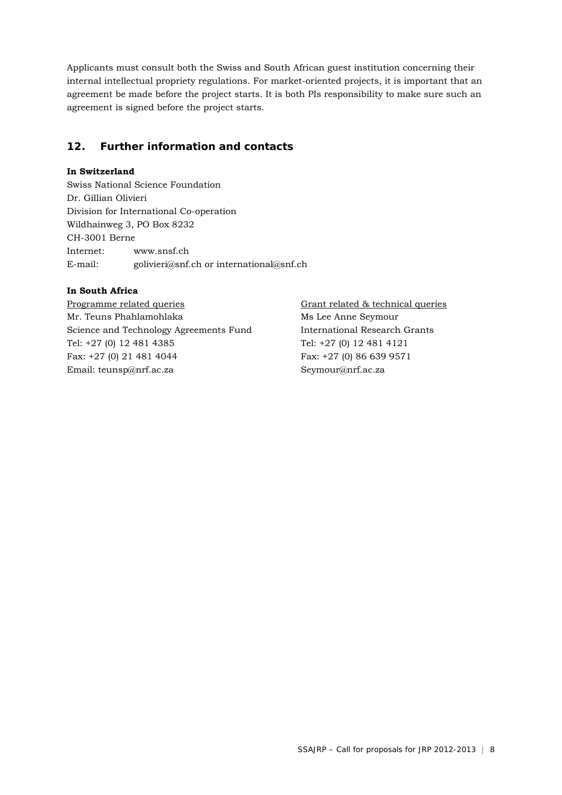Applicants must consult both the Swiss and South African guest institution concerning their internal intellectual propriety regulations. For market-oriented projects, it is important that an agreement be made before the project starts. It is both PIs responsibility to make sure such an agreement is signed before the project starts.

# **12. Further information and contacts**

#### **In Switzerland**

Swiss National Science Foundation Dr. Gillian Olivieri Division for International Co-operation Wildhainweg 3, PO Box 8232 CH-3001 Berne Internet: www.snsf.ch E-mail: golivieri@snf.ch or international@snf.ch

## **In South Africa**

Programme related queries Grant related & technical queries Mr. Teuns Phahlamohlaka Ms Lee Anne Seymour Science and Technology Agreements Fund International Research Grants Tel: +27 (0) 12 481 4385 Tel: +27 (0) 12 481 4121 Fax: +27 (0) 21 481 4044 Fax: +27 (0) 86 639 9571 Email: teunsp@nrf.ac.za Seymour@nrf.ac.za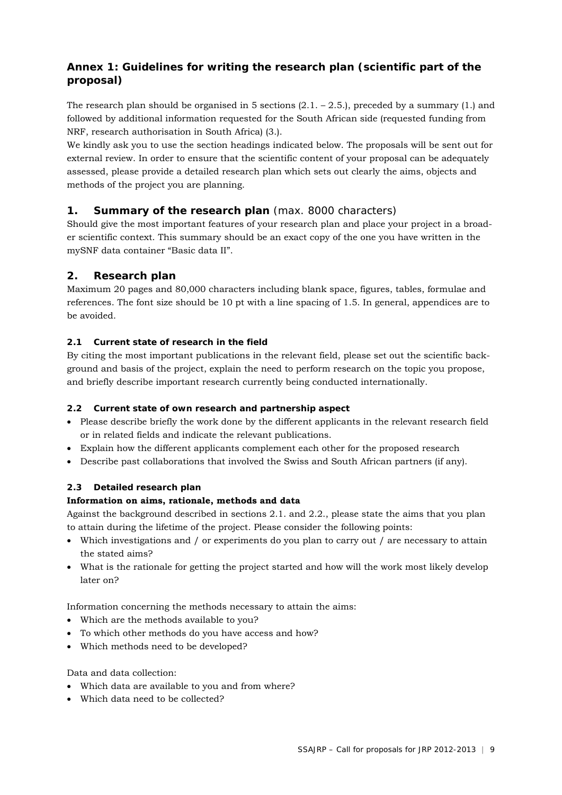# **Annex 1: Guidelines for writing the research plan (scientific part of the proposal)**

The research plan should be organised in 5 sections  $(2.1 - 2.5)$ , preceded by a summary  $(1.)$  and followed by additional information requested for the South African side (requested funding from NRF, research authorisation in South Africa) (3.).

We kindly ask you to use the section headings indicated below. The proposals will be sent out for external review. In order to ensure that the scientific content of your proposal can be adequately assessed, please provide a detailed research plan which sets out clearly the aims, objects and methods of the project you are planning.

# **1. Summary of the research plan** (max. 8000 characters)

Should give the most important features of your research plan and place your project in a broader scientific context. This summary should be an exact copy of the one you have written in the mySNF data container "Basic data II".

# **2. Research plan**

Maximum 20 pages and 80,000 characters including blank space, figures, tables, formulae and references. The font size should be 10 pt with a line spacing of 1.5. In general, appendices are to be avoided.

# **2.1 Current state of research in the field**

By citing the most important publications in the relevant field, please set out the scientific background and basis of the project, explain the need to perform research on the topic you propose, and briefly describe important research currently being conducted internationally.

## **2.2 Current state of own research and partnership aspect**

- Please describe briefly the work done by the different applicants in the relevant research field or in related fields and indicate the relevant publications.
- Explain how the different applicants complement each other for the proposed research
- Describe past collaborations that involved the Swiss and South African partners (if any).

# **2.3 Detailed research plan**

## **Information on aims, rationale, methods and data**

Against the background described in sections 2.1. and 2.2., please state the aims that you plan to attain during the lifetime of the project. Please consider the following points:

- Which investigations and / or experiments do you plan to carry out / are necessary to attain the stated aims?
- What is the rationale for getting the project started and how will the work most likely develop later on?

Information concerning the methods necessary to attain the aims:

- Which are the methods available to you?
- To which other methods do you have access and how?
- Which methods need to be developed?

## Data and data collection:

- Which data are available to you and from where?
- Which data need to be collected?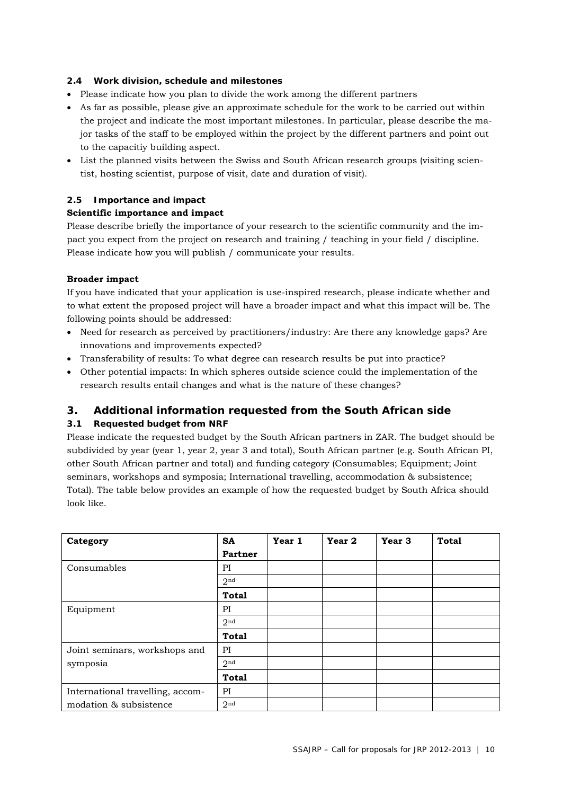## **2.4 Work division, schedule and milestones**

- Please indicate how you plan to divide the work among the different partners
- As far as possible, please give an approximate schedule for the work to be carried out within the project and indicate the most important milestones. In particular, please describe the major tasks of the staff to be employed within the project by the different partners and point out to the capacitiy building aspect.
- List the planned visits between the Swiss and South African research groups (visiting scientist, hosting scientist, purpose of visit, date and duration of visit).

#### **2.5 Importance and impact**

#### **Scientific importance and impact**

Please describe briefly the importance of your research to the scientific community and the impact you expect from the project on research and training / teaching in your field / discipline. Please indicate how you will publish / communicate your results.

#### **Broader impact**

If you have indicated that your application is use-inspired research, please indicate whether and to what extent the proposed project will have a broader impact and what this impact will be. The following points should be addressed:

- Need for research as perceived by practitioners/industry: Are there any knowledge gaps? Are innovations and improvements expected?
- Transferability of results: To what degree can research results be put into practice?
- Other potential impacts: In which spheres outside science could the implementation of the research results entail changes and what is the nature of these changes?

## **3. Additional information requested from the South African side**

## **3.1 Requested budget from NRF**

Please indicate the requested budget by the South African partners in ZAR. The budget should be subdivided by year (year 1, year 2, year 3 and total), South African partner (e.g. South African PI, other South African partner and total) and funding category (Consumables; Equipment; Joint seminars, workshops and symposia; International travelling, accommodation & subsistence; Total). The table below provides an example of how the requested budget by South Africa should look like.

| Category                         | <b>SA</b>       | Year 1 | Year 2 | Year 3 | <b>Total</b> |
|----------------------------------|-----------------|--------|--------|--------|--------------|
|                                  | Partner         |        |        |        |              |
| Consumables                      | PI              |        |        |        |              |
|                                  | 2 <sup>nd</sup> |        |        |        |              |
|                                  | <b>Total</b>    |        |        |        |              |
| Equipment                        | PI              |        |        |        |              |
|                                  | 2 <sup>nd</sup> |        |        |        |              |
|                                  | <b>Total</b>    |        |        |        |              |
| Joint seminars, workshops and    | PI              |        |        |        |              |
| symposia                         | 2 <sub>nd</sub> |        |        |        |              |
|                                  | <b>Total</b>    |        |        |        |              |
| International travelling, accom- | PI              |        |        |        |              |
| modation & subsistence           | 2 <sub>nd</sub> |        |        |        |              |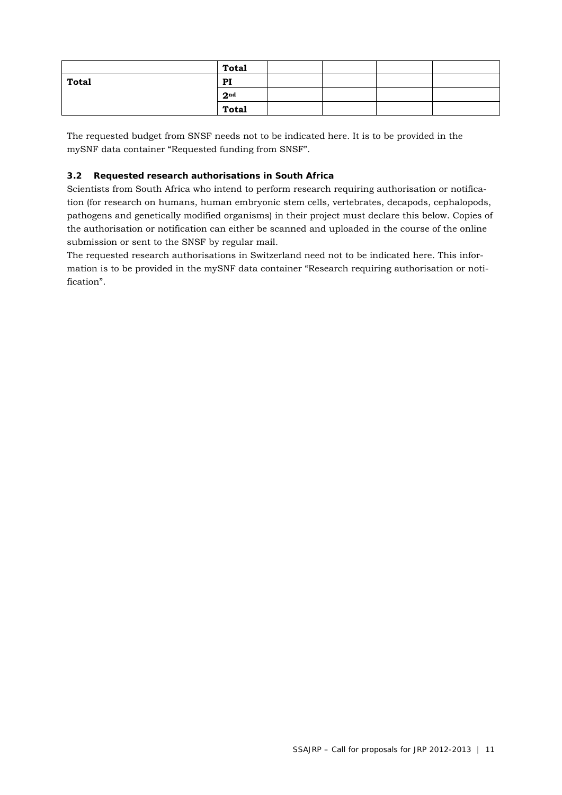|              | <b>Total</b>    |  |  |
|--------------|-----------------|--|--|
| <b>Total</b> | PI              |  |  |
|              | 2 <sup>nd</sup> |  |  |
|              | <b>Total</b>    |  |  |

The requested budget from SNSF needs not to be indicated here. It is to be provided in the mySNF data container "Requested funding from SNSF".

# **3.2 Requested research authorisations in South Africa**

Scientists from South Africa who intend to perform research requiring authorisation or notification (for research on humans, human embryonic stem cells, vertebrates, decapods, cephalopods, pathogens and genetically modified organisms) in their project must declare this below. Copies of the authorisation or notification can either be scanned and uploaded in the course of the online submission or sent to the SNSF by regular mail.

The requested research authorisations in Switzerland need not to be indicated here. This information is to be provided in the mySNF data container "Research requiring authorisation or notification".